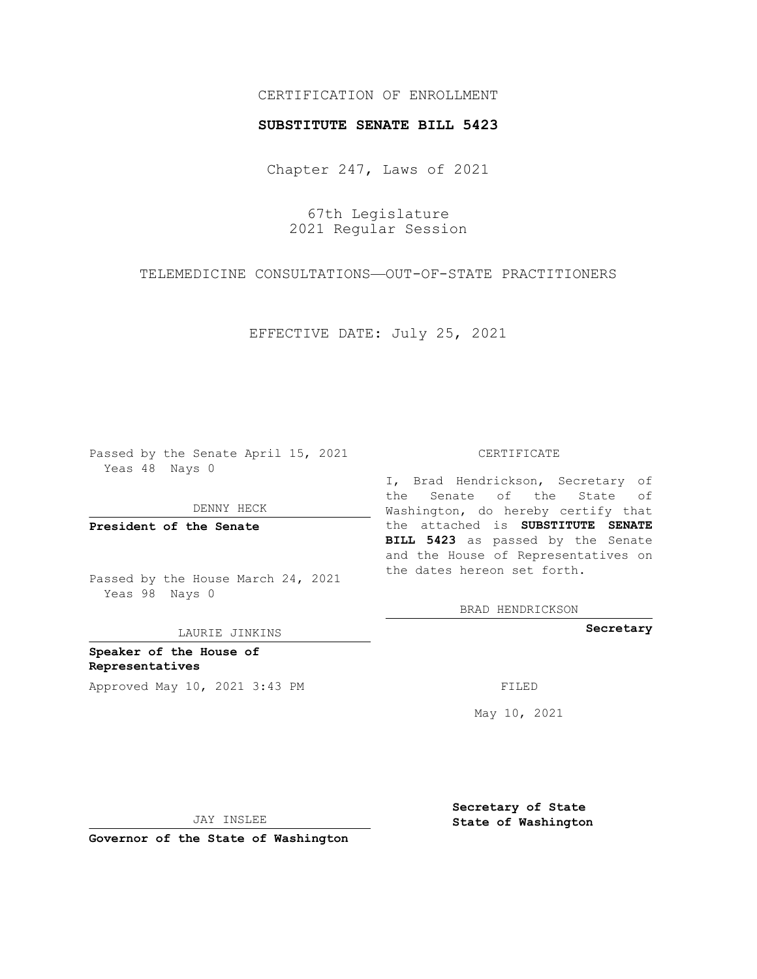## CERTIFICATION OF ENROLLMENT

## **SUBSTITUTE SENATE BILL 5423**

Chapter 247, Laws of 2021

67th Legislature 2021 Regular Session

TELEMEDICINE CONSULTATIONS—OUT-OF-STATE PRACTITIONERS

EFFECTIVE DATE: July 25, 2021

Passed by the Senate April 15, 2021 Yeas 48 Nays 0

DENNY HECK

**President of the Senate**

Passed by the House March 24, 2021 Yeas 98 Nays 0

LAURIE JINKINS

**Speaker of the House of Representatives** Approved May 10, 2021 3:43 PM FILED

#### CERTIFICATE

I, Brad Hendrickson, Secretary of the Senate of the State of Washington, do hereby certify that the attached is **SUBSTITUTE SENATE BILL 5423** as passed by the Senate and the House of Representatives on the dates hereon set forth.

BRAD HENDRICKSON

**Secretary**

May 10, 2021

JAY INSLEE

**Governor of the State of Washington**

**Secretary of State State of Washington**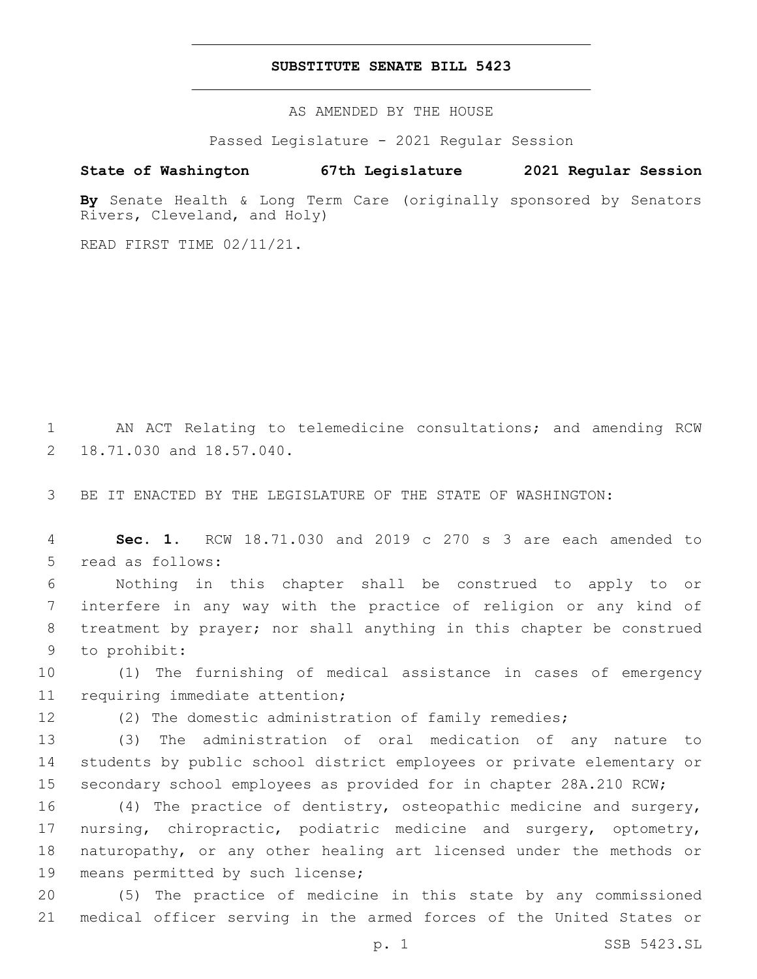## **SUBSTITUTE SENATE BILL 5423**

AS AMENDED BY THE HOUSE

Passed Legislature - 2021 Regular Session

# **State of Washington 67th Legislature 2021 Regular Session**

**By** Senate Health & Long Term Care (originally sponsored by Senators Rivers, Cleveland, and Holy)

READ FIRST TIME 02/11/21.

1 AN ACT Relating to telemedicine consultations; and amending RCW 2 18.71.030 and 18.57.040.

3 BE IT ENACTED BY THE LEGISLATURE OF THE STATE OF WASHINGTON:

4 **Sec. 1.** RCW 18.71.030 and 2019 c 270 s 3 are each amended to 5 read as follows:

 Nothing in this chapter shall be construed to apply to or interfere in any way with the practice of religion or any kind of treatment by prayer; nor shall anything in this chapter be construed 9 to prohibit:

10 (1) The furnishing of medical assistance in cases of emergency 11 requiring immediate attention;

12 (2) The domestic administration of family remedies;

13 (3) The administration of oral medication of any nature to 14 students by public school district employees or private elementary or 15 secondary school employees as provided for in chapter 28A.210 RCW;

 (4) The practice of dentistry, osteopathic medicine and surgery, nursing, chiropractic, podiatric medicine and surgery, optometry, naturopathy, or any other healing art licensed under the methods or 19 means permitted by such license;

20 (5) The practice of medicine in this state by any commissioned 21 medical officer serving in the armed forces of the United States or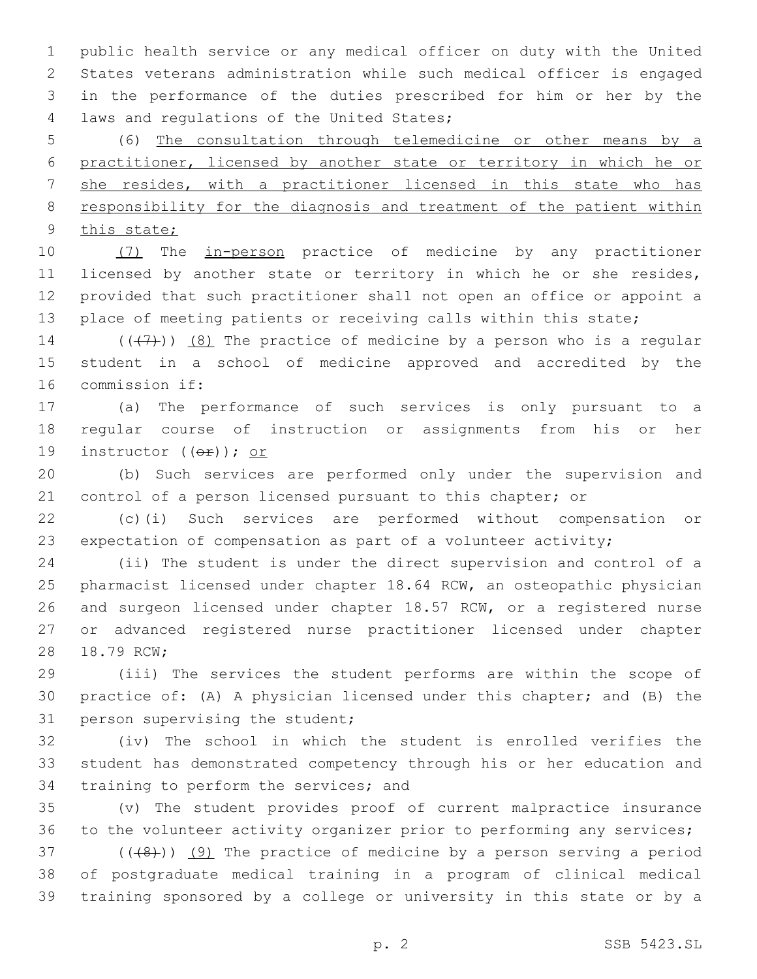public health service or any medical officer on duty with the United States veterans administration while such medical officer is engaged in the performance of the duties prescribed for him or her by the 4 laws and regulations of the United States;

 (6) The consultation through telemedicine or other means by a practitioner, licensed by another state or territory in which he or she resides, with a practitioner licensed in this state who has responsibility for the diagnosis and treatment of the patient within 9 this state;

10 (7) The in-person practice of medicine by any practitioner licensed by another state or territory in which he or she resides, provided that such practitioner shall not open an office or appoint a 13 place of meeting patients or receiving calls within this state;

14  $((+7+))$   $(8)$  The practice of medicine by a person who is a regular student in a school of medicine approved and accredited by the 16 commission if:

 (a) The performance of such services is only pursuant to a regular course of instruction or assignments from his or her 19 instructor  $((\theta \oplus))$ ; or

 (b) Such services are performed only under the supervision and control of a person licensed pursuant to this chapter; or

 (c)(i) Such services are performed without compensation or expectation of compensation as part of a volunteer activity;

 (ii) The student is under the direct supervision and control of a pharmacist licensed under chapter 18.64 RCW, an osteopathic physician and surgeon licensed under chapter 18.57 RCW, or a registered nurse or advanced registered nurse practitioner licensed under chapter 28 18.79 RCW;

 (iii) The services the student performs are within the scope of practice of: (A) A physician licensed under this chapter; and (B) the 31 person supervising the student;

 (iv) The school in which the student is enrolled verifies the student has demonstrated competency through his or her education and 34 training to perform the services; and

 (v) The student provides proof of current malpractice insurance to the volunteer activity organizer prior to performing any services;

 $(1+8)$ ) (9) The practice of medicine by a person serving a period of postgraduate medical training in a program of clinical medical training sponsored by a college or university in this state or by a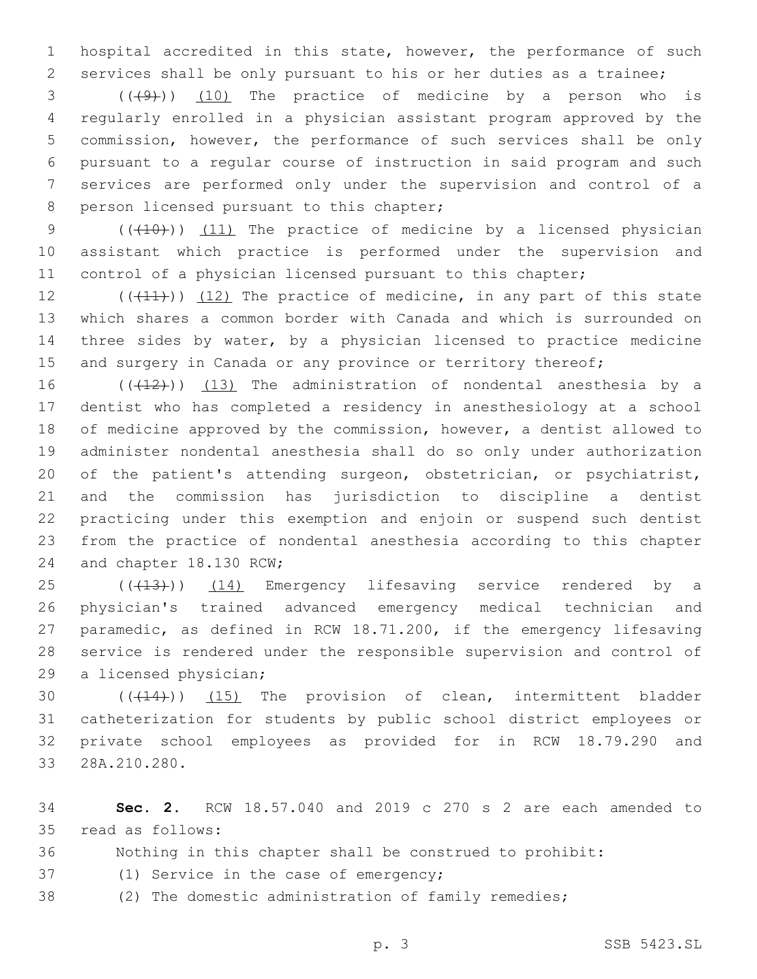hospital accredited in this state, however, the performance of such services shall be only pursuant to his or her duties as a trainee;

 ( $(\frac{49}{10})$  The practice of medicine by a person who is regularly enrolled in a physician assistant program approved by the commission, however, the performance of such services shall be only pursuant to a regular course of instruction in said program and such services are performed only under the supervision and control of a 8 person licensed pursuant to this chapter;

9 (( $(10)$ ) (11) The practice of medicine by a licensed physician assistant which practice is performed under the supervision and 11 control of a physician licensed pursuant to this chapter;

 $((+11))$   $(12)$  The practice of medicine, in any part of this state which shares a common border with Canada and which is surrounded on three sides by water, by a physician licensed to practice medicine 15 and surgery in Canada or any province or territory thereof;

 $((+12))$   $(13)$  The administration of nondental anesthesia by a dentist who has completed a residency in anesthesiology at a school of medicine approved by the commission, however, a dentist allowed to administer nondental anesthesia shall do so only under authorization of the patient's attending surgeon, obstetrician, or psychiatrist, and the commission has jurisdiction to discipline a dentist practicing under this exemption and enjoin or suspend such dentist from the practice of nondental anesthesia according to this chapter 24 and chapter 18.130 RCW;

25 (((413))) (14) Emergency lifesaving service rendered by a physician's trained advanced emergency medical technician and paramedic, as defined in RCW 18.71.200, if the emergency lifesaving service is rendered under the responsible supervision and control of 29 a licensed physician;

30 (( $(14)$ )) (15) The provision of clean, intermittent bladder catheterization for students by public school district employees or private school employees as provided for in RCW 18.79.290 and 28A.210.280.33

 **Sec. 2.** RCW 18.57.040 and 2019 c 270 s 2 are each amended to 35 read as follows:

- Nothing in this chapter shall be construed to prohibit:
- 37 (1) Service in the case of emergency;
- (2) The domestic administration of family remedies;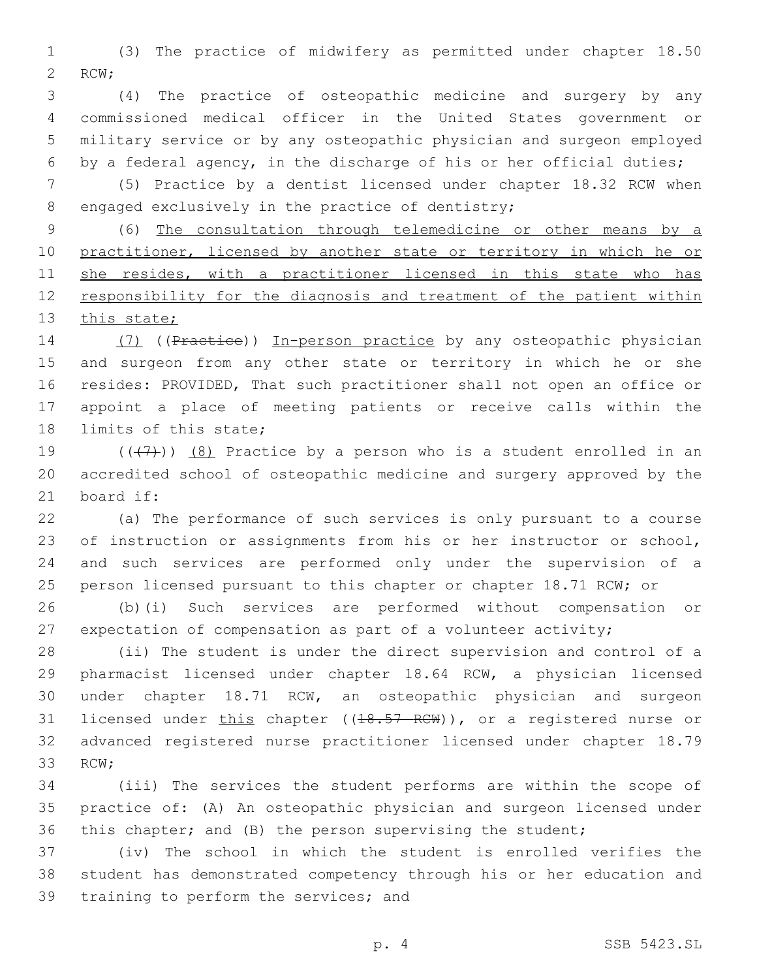(3) The practice of midwifery as permitted under chapter 18.50 2 RCW;

 (4) The practice of osteopathic medicine and surgery by any commissioned medical officer in the United States government or military service or by any osteopathic physician and surgeon employed by a federal agency, in the discharge of his or her official duties;

 (5) Practice by a dentist licensed under chapter 18.32 RCW when 8 engaged exclusively in the practice of dentistry;

 (6) The consultation through telemedicine or other means by a 10 practitioner, licensed by another state or territory in which he or 11 she resides, with a practitioner licensed in this state who has responsibility for the diagnosis and treatment of the patient within 13 this state;

14 (7) ((Practice)) In-person practice by any osteopathic physician and surgeon from any other state or territory in which he or she resides: PROVIDED, That such practitioner shall not open an office or appoint a place of meeting patients or receive calls within the 18 limits of this state;

19  $((+7+))$   $(8)$  Practice by a person who is a student enrolled in an accredited school of osteopathic medicine and surgery approved by the 21 board if:

 (a) The performance of such services is only pursuant to a course 23 of instruction or assignments from his or her instructor or school, and such services are performed only under the supervision of a person licensed pursuant to this chapter or chapter 18.71 RCW; or

 (b)(i) Such services are performed without compensation or expectation of compensation as part of a volunteer activity;

 (ii) The student is under the direct supervision and control of a pharmacist licensed under chapter 18.64 RCW, a physician licensed under chapter 18.71 RCW, an osteopathic physician and surgeon 31 licensed under this chapter ((18.57 RCW)), or a registered nurse or advanced registered nurse practitioner licensed under chapter 18.79 33 RCW;

 (iii) The services the student performs are within the scope of practice of: (A) An osteopathic physician and surgeon licensed under this chapter; and (B) the person supervising the student;

 (iv) The school in which the student is enrolled verifies the student has demonstrated competency through his or her education and 39 training to perform the services; and